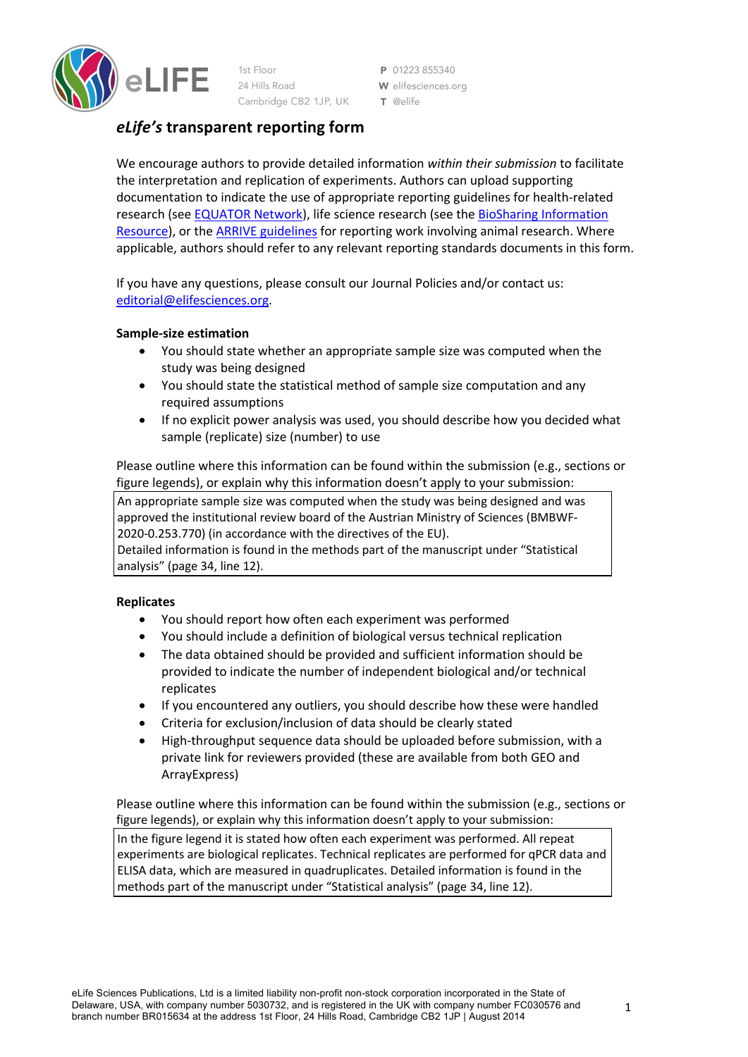

1st Floor 24 Hills Road Cambridge CB2 1JP, UK

P 01223 855340 W elifesciences.org T @elife

# *eLife's* **transparent reporting form**

We encourage authors to provide detailed information *within their submission* to facilitate the interpretation and replication of experiments. Authors can upload supporting documentation to indicate the use of appropriate reporting guidelines for health-related research (see EQUATOR Network), life science research (see the BioSharing Information Resource), or the ARRIVE guidelines for reporting work involving animal research. Where applicable, authors should refer to any relevant reporting standards documents in this form.

If you have any questions, please consult our Journal Policies and/or contact us: editorial@elifesciences.org.

# **Sample-size estimation**

- You should state whether an appropriate sample size was computed when the study was being designed
- You should state the statistical method of sample size computation and any required assumptions
- If no explicit power analysis was used, you should describe how you decided what sample (replicate) size (number) to use

Please outline where this information can be found within the submission (e.g., sections or figure legends), or explain why this information doesn't apply to your submission:

An appropriate sample size was computed when the study was being designed and was approved the institutional review board of the Austrian Ministry of Sciences (BMBWF-2020-0.253.770) (in accordance with the directives of the EU).

Detailed information is found in the methods part of the manuscript under "Statistical analysis" (page 34, line 12).

# **Replicates**

- You should report how often each experiment was performed
- You should include a definition of biological versus technical replication
- The data obtained should be provided and sufficient information should be provided to indicate the number of independent biological and/or technical replicates
- If you encountered any outliers, you should describe how these were handled
- Criteria for exclusion/inclusion of data should be clearly stated
- High-throughput sequence data should be uploaded before submission, with a private link for reviewers provided (these are available from both GEO and ArrayExpress)

Please outline where this information can be found within the submission (e.g., sections or figure legends), or explain why this information doesn't apply to your submission:

In the figure legend it is stated how often each experiment was performed. All repeat experiments are biological replicates. Technical replicates are performed for qPCR data and ELISA data, which are measured in quadruplicates. Detailed information is found in the methods part of the manuscript under "Statistical analysis" (page 34, line 12).